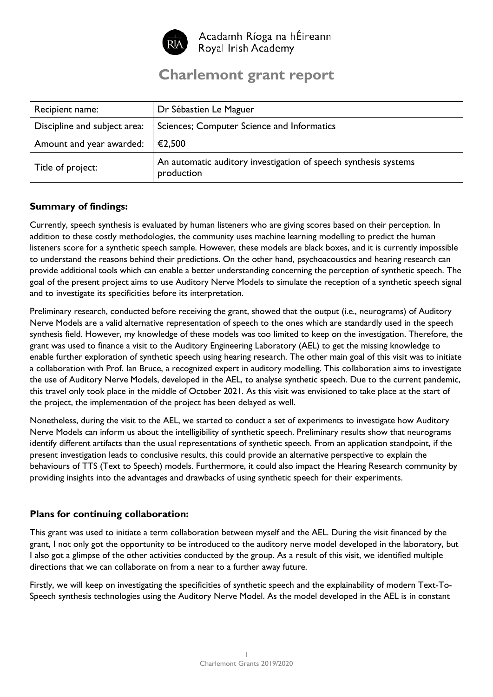

Acadamh Ríoga na hÉireann Royal Irish Academy

## **Charlemont grant report**

| Recipient name:              | Dr Sébastien Le Maguer                                                        |
|------------------------------|-------------------------------------------------------------------------------|
| Discipline and subject area: | Sciences; Computer Science and Informatics                                    |
| Amount and year awarded:     | €2,500                                                                        |
| Title of project:            | An automatic auditory investigation of speech synthesis systems<br>production |

## **Summary of findings:**

Currently, speech synthesis is evaluated by human listeners who are giving scores based on their perception. In addition to these costly methodologies, the community uses machine learning modelling to predict the human listeners score for a synthetic speech sample. However, these models are black boxes, and it is currently impossible to understand the reasons behind their predictions. On the other hand, psychoacoustics and hearing research can provide additional tools which can enable a better understanding concerning the perception of synthetic speech. The goal of the present project aims to use Auditory Nerve Models to simulate the reception of a synthetic speech signal and to investigate its specificities before its interpretation.

Preliminary research, conducted before receiving the grant, showed that the output (i.e., neurograms) of Auditory Nerve Models are a valid alternative representation of speech to the ones which are standardly used in the speech synthesis field. However, my knowledge of these models was too limited to keep on the investigation. Therefore, the grant was used to finance a visit to the Auditory Engineering Laboratory (AEL) to get the missing knowledge to enable further exploration of synthetic speech using hearing research. The other main goal of this visit was to initiate a collaboration with Prof. Ian Bruce, a recognized expert in auditory modelling. This collaboration aims to investigate the use of Auditory Nerve Models, developed in the AEL, to analyse synthetic speech. Due to the current pandemic, this travel only took place in the middle of October 2021. As this visit was envisioned to take place at the start of the project, the implementation of the project has been delayed as well.

Nonetheless, during the visit to the AEL, we started to conduct a set of experiments to investigate how Auditory Nerve Models can inform us about the intelligibility of synthetic speech. Preliminary results show that neurograms identify different artifacts than the usual representations of synthetic speech. From an application standpoint, if the present investigation leads to conclusive results, this could provide an alternative perspective to explain the behaviours of TTS (Text to Speech) models. Furthermore, it could also impact the Hearing Research community by providing insights into the advantages and drawbacks of using synthetic speech for their experiments.

## **Plans for continuing collaboration:**

This grant was used to initiate a term collaboration between myself and the AEL. During the visit financed by the grant, I not only got the opportunity to be introduced to the auditory nerve model developed in the laboratory, but I also got a glimpse of the other activities conducted by the group. As a result of this visit, we identified multiple directions that we can collaborate on from a near to a further away future.

Firstly, we will keep on investigating the specificities of synthetic speech and the explainability of modern Text-To-Speech synthesis technologies using the Auditory Nerve Model. As the model developed in the AEL is in constant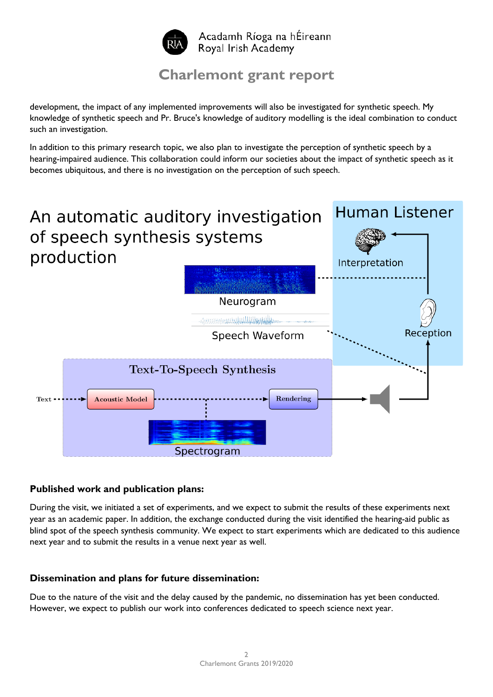

## **Charlemont grant report**

development, the impact of any implemented improvements will also be investigated for synthetic speech. My knowledge of synthetic speech and Pr. Bruce's knowledge of auditory modelling is the ideal combination to conduct such an investigation.

In addition to this primary research topic, we also plan to investigate the perception of synthetic speech by a hearing-impaired audience. This collaboration could inform our societies about the impact of synthetic speech as it becomes ubiquitous, and there is no investigation on the perception of such speech.



#### **Published work and publication plans:**

During the visit, we initiated a set of experiments, and we expect to submit the results of these experiments next year as an academic paper. In addition, the exchange conducted during the visit identified the hearing-aid public as blind spot of the speech synthesis community. We expect to start experiments which are dedicated to this audience next year and to submit the results in a venue next year as well.

## **Dissemination and plans for future dissemination:**

Due to the nature of the visit and the delay caused by the pandemic, no dissemination has yet been conducted. However, we expect to publish our work into conferences dedicated to speech science next year.